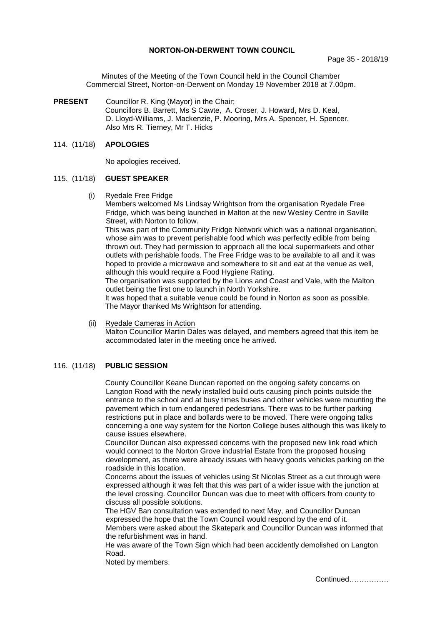## **NORTON-ON-DERWENT TOWN COUNCIL**

Minutes of the Meeting of the Town Council held in the Council Chamber Commercial Street, Norton-on-Derwent on Monday 19 November 2018 at 7.00pm.

**PRESENT** Councillor R. King (Mayor) in the Chair; Councillors B. Barrett, Ms S Cawte, A. Croser, J. Howard, Mrs D. Keal, D. Lloyd-Williams, J. Mackenzie, P. Mooring, Mrs A. Spencer, H. Spencer. Also Mrs R. Tierney, Mr T. Hicks

## 114. (11/18) **APOLOGIES**

No apologies received.

#### 115. (11/18) **GUEST SPEAKER**

(i) Ryedale Free Fridge

Members welcomed Ms Lindsay Wrightson from the organisation Ryedale Free Fridge, which was being launched in Malton at the new Wesley Centre in Saville Street, with Norton to follow.

This was part of the Community Fridge Network which was a national organisation, whose aim was to prevent perishable food which was perfectly edible from being thrown out. They had permission to approach all the local supermarkets and other outlets with perishable foods. The Free Fridge was to be available to all and it was hoped to provide a microwave and somewhere to sit and eat at the venue as well, although this would require a Food Hygiene Rating.

The organisation was supported by the Lions and Coast and Vale, with the Malton outlet being the first one to launch in North Yorkshire.

It was hoped that a suitable venue could be found in Norton as soon as possible. The Mayor thanked Ms Wrightson for attending.

 (ii) Ryedale Cameras in Action Malton Councillor Martin Dales was delayed, and members agreed that this item be accommodated later in the meeting once he arrived.

# 116. (11/18) **PUBLIC SESSION**

County Councillor Keane Duncan reported on the ongoing safety concerns on Langton Road with the newly installed build outs causing pinch points outside the entrance to the school and at busy times buses and other vehicles were mounting the pavement which in turn endangered pedestrians. There was to be further parking restrictions put in place and bollards were to be moved. There were ongoing talks concerning a one way system for the Norton College buses although this was likely to cause issues elsewhere.

Councillor Duncan also expressed concerns with the proposed new link road which would connect to the Norton Grove industrial Estate from the proposed housing development, as there were already issues with heavy goods vehicles parking on the roadside in this location.

Concerns about the issues of vehicles using St Nicolas Street as a cut through were expressed although it was felt that this was part of a wider issue with the junction at the level crossing. Councillor Duncan was due to meet with officers from county to discuss all possible solutions.

The HGV Ban consultation was extended to next May, and Councillor Duncan expressed the hope that the Town Council would respond by the end of it. Members were asked about the Skatepark and Councillor Duncan was informed that the refurbishment was in hand.

He was aware of the Town Sign which had been accidently demolished on Langton Road.

Noted by members.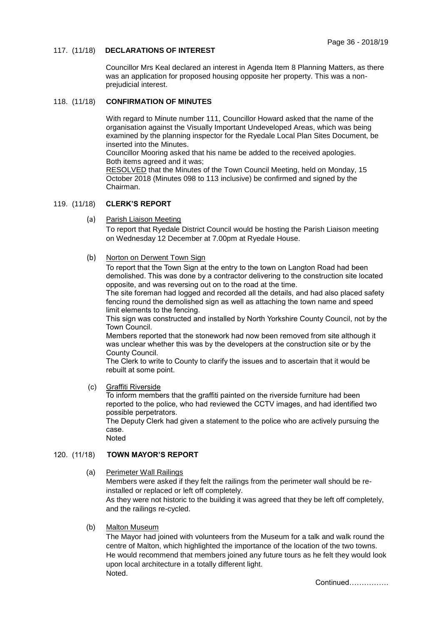# 117. (11/18) **DECLARATIONS OF INTEREST**

Councillor Mrs Keal declared an interest in Agenda Item 8 Planning Matters, as there was an application for proposed housing opposite her property. This was a nonprejudicial interest.

# 118. (11/18) **CONFIRMATION OF MINUTES**

With regard to Minute number 111, Councillor Howard asked that the name of the organisation against the Visually Important Undeveloped Areas, which was being examined by the planning inspector for the Ryedale Local Plan Sites Document, be inserted into the Minutes.

Councillor Mooring asked that his name be added to the received apologies. Both items agreed and it was;

 RESOLVED that the Minutes of the Town Council Meeting, held on Monday, 15 October 2018 (Minutes 098 to 113 inclusive) be confirmed and signed by the Chairman.

## 119. (11/18) **CLERK'S REPORT**

(a) Parish Liaison Meeting

To report that Ryedale District Council would be hosting the Parish Liaison meeting on Wednesday 12 December at 7.00pm at Ryedale House.

## (b) Norton on Derwent Town Sign

To report that the Town Sign at the entry to the town on Langton Road had been demolished. This was done by a contractor delivering to the construction site located opposite, and was reversing out on to the road at the time.

The site foreman had logged and recorded all the details, and had also placed safety fencing round the demolished sign as well as attaching the town name and speed limit elements to the fencing.

This sign was constructed and installed by North Yorkshire County Council, not by the Town Council.

Members reported that the stonework had now been removed from site although it was unclear whether this was by the developers at the construction site or by the County Council.

The Clerk to write to County to clarify the issues and to ascertain that it would be rebuilt at some point.

(c) Graffiti Riverside

To inform members that the graffiti painted on the riverside furniture had been reported to the police, who had reviewed the CCTV images, and had identified two possible perpetrators.

The Deputy Clerk had given a statement to the police who are actively pursuing the case.

Noted

# 120. (11/18) **TOWN MAYOR'S REPORT**

(a) Perimeter Wall Railings

Members were asked if they felt the railings from the perimeter wall should be reinstalled or replaced or left off completely.

As they were not historic to the building it was agreed that they be left off completely, and the railings re-cycled.

(b) Malton Museum

The Mayor had joined with volunteers from the Museum for a talk and walk round the centre of Malton, which highlighted the importance of the location of the two towns. He would recommend that members joined any future tours as he felt they would look upon local architecture in a totally different light. Noted.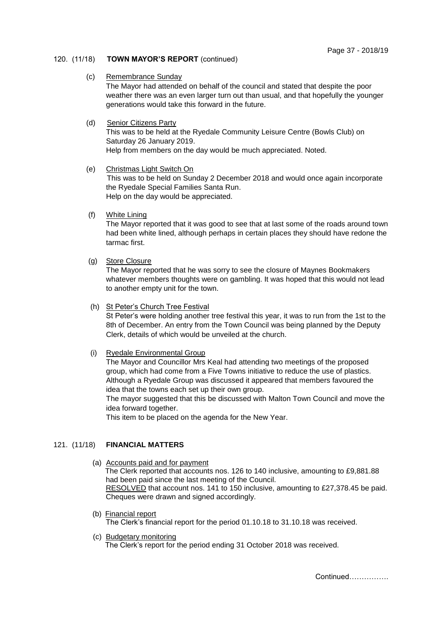## 120. (11/18) **TOWN MAYOR'S REPORT** (continued)

#### (c) Remembrance Sunday

The Mayor had attended on behalf of the council and stated that despite the poor weather there was an even larger turn out than usual, and that hopefully the younger generations would take this forward in the future.

## (d) Senior Citizens Party

This was to be held at the Ryedale Community Leisure Centre (Bowls Club) on Saturday 26 January 2019. Help from members on the day would be much appreciated. Noted.

## (e) Christmas Light Switch On

This was to be held on Sunday 2 December 2018 and would once again incorporate the Ryedale Special Families Santa Run. Help on the day would be appreciated.

(f) White Lining

The Mayor reported that it was good to see that at last some of the roads around town had been white lined, although perhaps in certain places they should have redone the tarmac first.

(g) Store Closure

The Mayor reported that he was sorry to see the closure of Maynes Bookmakers whatever members thoughts were on gambling. It was hoped that this would not lead to another empty unit for the town.

## (h) St Peter's Church Tree Festival

St Peter's were holding another tree festival this year, it was to run from the 1st to the 8th of December. An entry from the Town Council was being planned by the Deputy Clerk, details of which would be unveiled at the church.

## (i) Ryedale Environmental Group

The Mayor and Councillor Mrs Keal had attending two meetings of the proposed group, which had come from a Five Towns initiative to reduce the use of plastics. Although a Ryedale Group was discussed it appeared that members favoured the idea that the towns each set up their own group.

The mayor suggested that this be discussed with Malton Town Council and move the idea forward together.

This item to be placed on the agenda for the New Year.

# 121. (11/18) **FINANCIAL MATTERS**

- (a) Accounts paid and for payment The Clerk reported that accounts nos. 126 to 140 inclusive, amounting to £9,881.88 had been paid since the last meeting of the Council. RESOLVED that account nos. 141 to 150 inclusive, amounting to £27,378.45 be paid. Cheques were drawn and signed accordingly.
- (b) Financial report The Clerk's financial report for the period 01.10.18 to 31.10.18 was received.
- (c) Budgetary monitoring The Clerk's report for the period ending 31 October 2018 was received.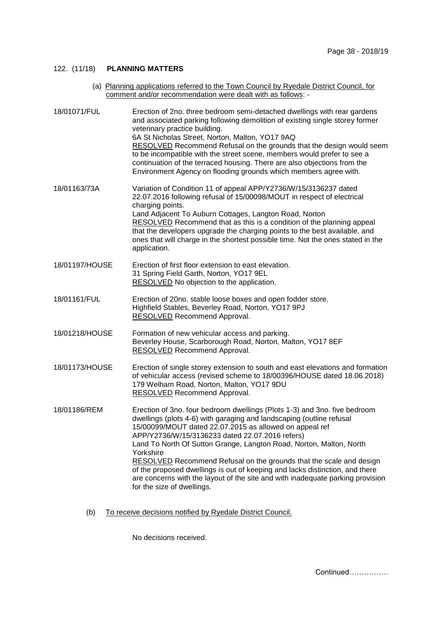# 122. (11/18) **PLANNING MATTERS**

(a) Planning applications referred to the Town Council by Ryedale District Council, for comment and/or recommendation were dealt with as follows: -

| 18/01071/FUL   | Erection of 2no. three bedroom semi-detached dwellings with rear gardens<br>and associated parking following demolition of existing single storey former<br>veterinary practice building.<br>6A St Nicholas Street, Norton, Malton, YO17 9AQ<br>RESOLVED Recommend Refusal on the grounds that the design would seem<br>to be incompatible with the street scene, members would prefer to see a<br>continuation of the terraced housing. There are also objections from the<br>Environment Agency on flooding grounds which members agree with.                                                                            |
|----------------|----------------------------------------------------------------------------------------------------------------------------------------------------------------------------------------------------------------------------------------------------------------------------------------------------------------------------------------------------------------------------------------------------------------------------------------------------------------------------------------------------------------------------------------------------------------------------------------------------------------------------|
| 18/01163/73A   | Variation of Condition 11 of appeal APP/Y2736/W/15/3136237 dated<br>22.07.2016 following refusal of 15/00098/MOUT in respect of electrical<br>charging points.<br>Land Adjacent To Auburn Cottages, Langton Road, Norton<br>RESOLVED Recommend that as this is a condition of the planning appeal<br>that the developers upgrade the charging points to the best available, and<br>ones that will charge in the shortest possible time. Not the ones stated in the<br>application.                                                                                                                                         |
| 18/01197/HOUSE | Erection of first floor extension to east elevation.<br>31 Spring Field Garth, Norton, YO17 9EL<br>RESOLVED No objection to the application.                                                                                                                                                                                                                                                                                                                                                                                                                                                                               |
| 18/01161/FUL   | Erection of 20no. stable loose boxes and open fodder store.<br>Highfield Stables, Beverley Road, Norton, YO17 9PJ<br>RESOLVED Recommend Approval.                                                                                                                                                                                                                                                                                                                                                                                                                                                                          |
| 18/01218/HOUSE | Formation of new vehicular access and parking.<br>Beverley House, Scarborough Road, Norton, Malton, YO17 8EF<br>RESOLVED Recommend Approval.                                                                                                                                                                                                                                                                                                                                                                                                                                                                               |
| 18/01173/HOUSE | Erection of single storey extension to south and east elevations and formation<br>of vehicular access (revised scheme to 18/00396/HOUSE dated 18.06.2018)<br>179 Welham Road, Norton, Malton, YO17 9DU<br><b>RESOLVED</b> Recommend Approval.                                                                                                                                                                                                                                                                                                                                                                              |
| 18/01186/REM   | Erection of 3no. four bedroom dwellings (Plots 1-3) and 3no. five bedroom<br>dwellings (plots 4-6) with garaging and landscaping (outline refusal<br>15/00099/MOUT dated 22.07.2015 as allowed on appeal ref<br>APP/Y2736/W/15/3136233 dated 22.07.2016 refers)<br>Land To North Of Sutton Grange, Langton Road, Norton, Malton, North<br>Yorkshire<br>RESOLVED Recommend Refusal on the grounds that the scale and design<br>of the proposed dwellings is out of keeping and lacks distinction, and there<br>are concerns with the layout of the site and with inadequate parking provision<br>for the size of dwellings. |

(b) To receive decisions notified by Ryedale District Council.

No decisions received.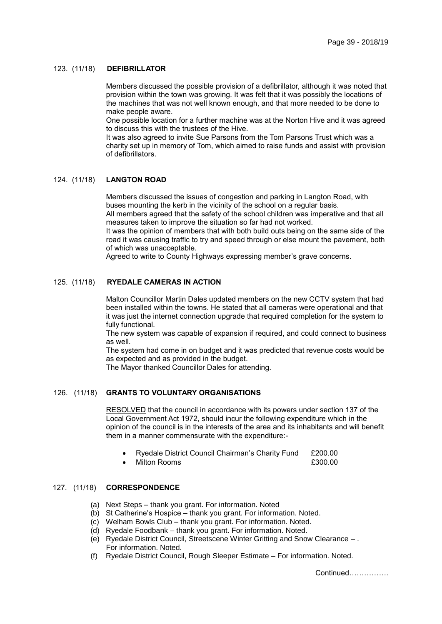#### 123. (11/18) **DEFIBRILLATOR**

Members discussed the possible provision of a defibrillator, although it was noted that provision within the town was growing. It was felt that it was possibly the locations of the machines that was not well known enough, and that more needed to be done to make people aware.

One possible location for a further machine was at the Norton Hive and it was agreed to discuss this with the trustees of the Hive.

It was also agreed to invite Sue Parsons from the Tom Parsons Trust which was a charity set up in memory of Tom, which aimed to raise funds and assist with provision of defibrillators.

#### 124. (11/18) **LANGTON ROAD**

Members discussed the issues of congestion and parking in Langton Road, with buses mounting the kerb in the vicinity of the school on a regular basis.

All members agreed that the safety of the school children was imperative and that all measures taken to improve the situation so far had not worked.

It was the opinion of members that with both build outs being on the same side of the road it was causing traffic to try and speed through or else mount the pavement, both of which was unacceptable.

Agreed to write to County Highways expressing member's grave concerns.

## 125. (11/18) **RYEDALE CAMERAS IN ACTION**

Malton Councillor Martin Dales updated members on the new CCTV system that had been installed within the towns. He stated that all cameras were operational and that it was just the internet connection upgrade that required completion for the system to fully functional.

The new system was capable of expansion if required, and could connect to business as well.

The system had come in on budget and it was predicted that revenue costs would be as expected and as provided in the budget.

The Mayor thanked Councillor Dales for attending.

## 126. (11/18) **GRANTS TO VOLUNTARY ORGANISATIONS**

RESOLVED that the council in accordance with its powers under section 137 of the Local Government Act 1972, should incur the following expenditure which in the opinion of the council is in the interests of the area and its inhabitants and will benefit them in a manner commensurate with the expenditure:-

- Ryedale District Council Chairman's Charity Fund £200.00
- Milton Rooms **£300.00**

#### 127. (11/18) **CORRESPONDENCE**

- (a) Next Steps thank you grant. For information. Noted
- (b) St Catherine's Hospice thank you grant. For information. Noted.
- (c) Welham Bowls Club thank you grant. For information. Noted.
- (d) Ryedale Foodbank thank you grant. For information. Noted.
- (e) Ryedale District Council, Streetscene Winter Gritting and Snow Clearance . For information. Noted.
- (f) Ryedale District Council, Rough Sleeper Estimate For information. Noted.